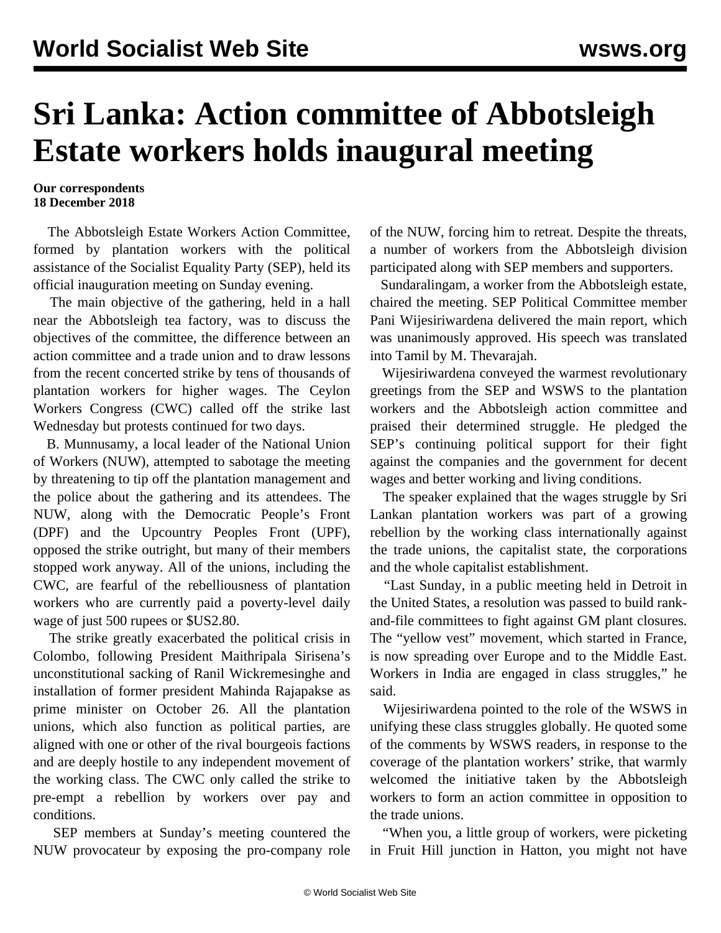## **Sri Lanka: Action committee of Abbotsleigh Estate workers holds inaugural meeting**

## **Our correspondents 18 December 2018**

 The Abbotsleigh Estate Workers Action Committee, formed by plantation workers with the political assistance of the Socialist Equality Party (SEP), held its official inauguration meeting on Sunday evening.

 The main objective of the gathering, held in a hall near the Abbotsleigh tea factory, was to discuss the objectives of the committee, the difference between an action committee and a trade union and to draw lessons from the recent concerted strike by tens of thousands of plantation workers for higher wages. The Ceylon Workers Congress (CWC) called off the strike last Wednesday but protests continued for two days.

 B. Munnusamy, a local leader of the National Union of Workers (NUW), attempted to sabotage the meeting by threatening to tip off the plantation management and the police about the gathering and its attendees. The NUW, along with the Democratic People's Front (DPF) and the Upcountry Peoples Front (UPF), opposed the strike outright, but many of their members stopped work anyway. All of the unions, including the CWC, are fearful of the rebelliousness of plantation workers who are currently paid a poverty-level daily wage of just 500 rupees or \$US2.80.

 The strike greatly exacerbated the political crisis in Colombo, following President Maithripala Sirisena's unconstitutional sacking of Ranil Wickremesinghe and installation of former president Mahinda Rajapakse as prime minister on October 26. All the plantation unions, which also function as political parties, are aligned with one or other of the rival bourgeois factions and are deeply hostile to any independent movement of the working class. The CWC only called the strike to pre-empt a rebellion by workers over pay and conditions.

 SEP members at Sunday's meeting countered the NUW provocateur by exposing the pro-company role of the NUW, forcing him to retreat. Despite the threats, a number of workers from the Abbotsleigh division participated along with SEP members and supporters.

 Sundaralingam, a worker from the Abbotsleigh estate, chaired the meeting. SEP Political Committee member Pani Wijesiriwardena delivered the main report, which was unanimously approved. His speech was translated into Tamil by M. Thevarajah.

 Wijesiriwardena conveyed the warmest revolutionary greetings from the SEP and WSWS to the plantation workers and the Abbotsleigh action committee and praised their determined struggle. He pledged the SEP's continuing political support for their fight against the companies and the government for decent wages and better working and living conditions.

 The speaker explained that the wages struggle by Sri Lankan plantation workers was part of a growing rebellion by the working class internationally against the trade unions, the capitalist state, the corporations and the whole capitalist establishment.

 "Last Sunday, in a public meeting held in Detroit in the United States, a resolution was passed to build rankand-file committees to fight against GM plant closures. The "yellow vest" movement, which started in France, is now spreading over Europe and to the Middle East. Workers in India are engaged in class struggles," he said.

 Wijesiriwardena pointed to the role of the WSWS in unifying these class struggles globally. He quoted some of the comments by WSWS readers, in response to the coverage of the plantation workers' strike, that warmly welcomed the initiative taken by the Abbotsleigh workers to form an action committee in opposition to the trade unions.

 "When you, a little group of workers, were picketing in Fruit Hill junction in Hatton, you might not have